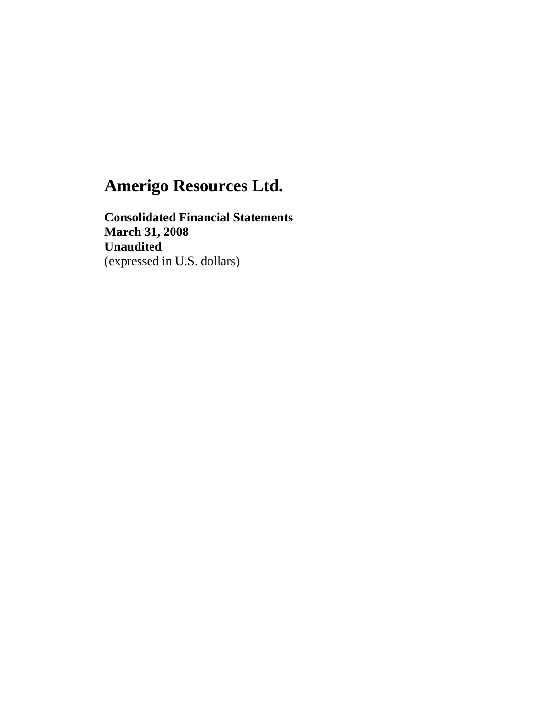**Consolidated Financial Statements March 31, 2008 Unaudited**  (expressed in U.S. dollars)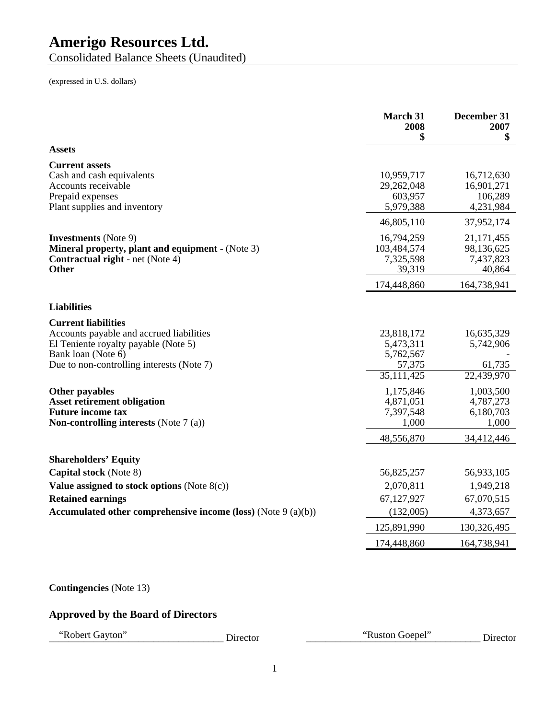Consolidated Balance Sheets (Unaudited)

(expressed in U.S. dollars)

|                                                                                                                                                                                   | March 31<br>2008<br>\$                                       | December 31<br>2007<br>\$                         |
|-----------------------------------------------------------------------------------------------------------------------------------------------------------------------------------|--------------------------------------------------------------|---------------------------------------------------|
| <b>Assets</b>                                                                                                                                                                     |                                                              |                                                   |
| <b>Current assets</b><br>Cash and cash equivalents<br>Accounts receivable<br>Prepaid expenses<br>Plant supplies and inventory                                                     | 10,959,717<br>29,262,048<br>603,957<br>5,979,388             | 16,712,630<br>16,901,271<br>106,289<br>4,231,984  |
|                                                                                                                                                                                   | 46,805,110                                                   | 37,952,174                                        |
| <b>Investments</b> (Note 9)<br><b>Mineral property, plant and equipment - (Note 3)</b><br><b>Contractual right</b> - net (Note 4)<br><b>Other</b>                                 | 16,794,259<br>103,484,574<br>7,325,598<br>39,319             | 21, 171, 455<br>98,136,625<br>7,437,823<br>40,864 |
|                                                                                                                                                                                   | 174,448,860                                                  | 164,738,941                                       |
| <b>Liabilities</b>                                                                                                                                                                |                                                              |                                                   |
| <b>Current liabilities</b><br>Accounts payable and accrued liabilities<br>El Teniente royalty payable (Note 5)<br>Bank loan (Note 6)<br>Due to non-controlling interests (Note 7) | 23,818,172<br>5,473,311<br>5,762,567<br>57,375<br>35,111,425 | 16,635,329<br>5,742,906<br>61,735<br>22,439,970   |
| Other payables<br><b>Asset retirement obligation</b><br><b>Future income tax</b><br><b>Non-controlling interests</b> (Note $7(a)$ )                                               | 1,175,846<br>4,871,051<br>7,397,548<br>1,000                 | 1,003,500<br>4,787,273<br>6,180,703<br>1,000      |
|                                                                                                                                                                                   | 48,556,870                                                   | 34,412,446                                        |
| <b>Shareholders' Equity</b>                                                                                                                                                       |                                                              |                                                   |
| Capital stock (Note 8)<br>Value assigned to stock options (Note $8(c)$ )<br><b>Retained earnings</b>                                                                              | 56,825,257<br>2,070,811<br>67,127,927                        | 56,933,105<br>1,949,218<br>67,070,515             |
| Accumulated other comprehensive income (loss) (Note $9(a)(b)$ )                                                                                                                   | (132,005)                                                    | 4,373,657                                         |
|                                                                                                                                                                                   | 125,891,990                                                  | 130,326,495                                       |
|                                                                                                                                                                                   | 174,448,860                                                  | 164,738,941                                       |
|                                                                                                                                                                                   |                                                              |                                                   |

## **Contingencies** (Note 13)

## **Approved by the Board of Directors**

"Robert Gayton" Director [2014] Director [2014] Director [2014] Director [2014] Muston Goepel" Director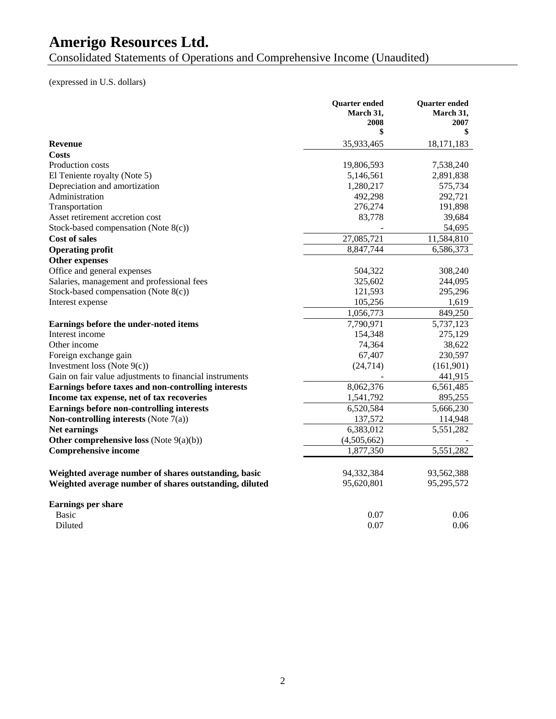Consolidated Statements of Operations and Comprehensive Income (Unaudited)

(expressed in U.S. dollars)

|                                                         | Quarter ended     | <b>Quarter</b> ended<br>March 31, |
|---------------------------------------------------------|-------------------|-----------------------------------|
|                                                         | March 31.<br>2008 | 2007                              |
|                                                         | \$                | \$                                |
| <b>Revenue</b>                                          | 35,933,465        | 18,171,183                        |
| Costs                                                   |                   |                                   |
| Production costs                                        | 19,806,593        | 7,538,240                         |
| El Teniente royalty (Note 5)                            | 5,146,561         | 2,891,838                         |
| Depreciation and amortization                           | 1,280,217         | 575,734                           |
| Administration                                          | 492,298           | 292,721                           |
| Transportation                                          | 276,274           | 191,898                           |
| Asset retirement accretion cost                         | 83,778            | 39,684                            |
| Stock-based compensation (Note 8(c))                    |                   | 54,695                            |
| <b>Cost of sales</b>                                    | 27,085,721        | 11,584,810                        |
| <b>Operating profit</b>                                 | 8,847,744         | 6,586,373                         |
| Other expenses                                          |                   |                                   |
| Office and general expenses                             | 504,322           | 308,240                           |
| Salaries, management and professional fees              | 325,602           | 244,095                           |
| Stock-based compensation (Note $8(c)$ )                 | 121,593           | 295,296                           |
| Interest expense                                        | 105,256           | 1,619                             |
|                                                         | 1,056,773         | 849,250                           |
| Earnings before the under-noted items                   | 7,790,971         | 5,737,123                         |
| Interest income                                         | 154,348           | 275,129                           |
| Other income                                            | 74,364            | 38,622                            |
| Foreign exchange gain                                   | 67,407            | 230,597                           |
| Investment loss (Note $9(c)$ )                          | (24, 714)         | (161,901)                         |
| Gain on fair value adjustments to financial instruments |                   | 441,915                           |
| Earnings before taxes and non-controlling interests     | 8,062,376         | 6,561,485                         |
| Income tax expense, net of tax recoveries               | 1,541,792         | 895,255                           |
| Earnings before non-controlling interests               | 6,520,584         | 5,666,230                         |
| Non-controlling interests (Note $7(a)$ )                | 137,572           | 114,948                           |
| Net earnings                                            | 6,383,012         | 5,551,282                         |
| Other comprehensive loss (Note $9(a)(b)$ )              | (4,505,662)       |                                   |
| <b>Comprehensive income</b>                             | 1,877,350         | 5,551,282                         |
|                                                         |                   |                                   |
| Weighted average number of shares outstanding, basic    | 94,332,384        | 93,562,388                        |
| Weighted average number of shares outstanding, diluted  | 95,620,801        | 95,295,572                        |
|                                                         |                   |                                   |
| <b>Earnings per share</b>                               |                   |                                   |
| <b>Basic</b>                                            | 0.07              | 0.06                              |
| Diluted                                                 | 0.07              | 0.06                              |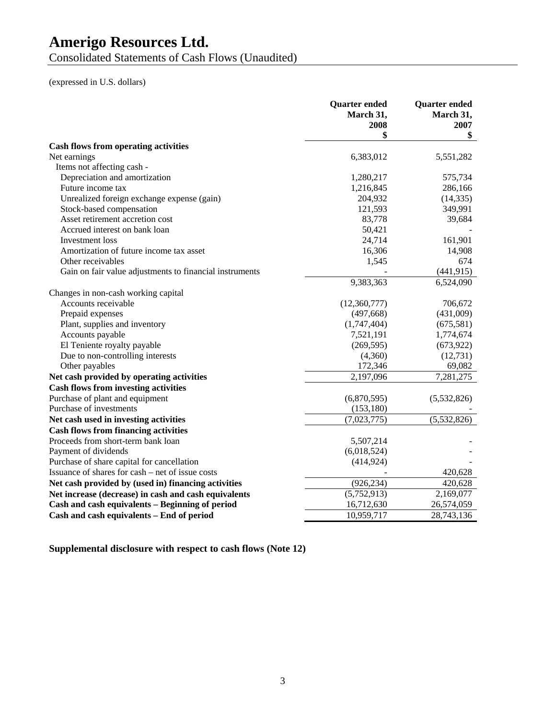Consolidated Statements of Cash Flows (Unaudited)

(expressed in U.S. dollars)

|                                                         | <b>Quarter</b> ended<br>March 31,<br>2008 | <b>Quarter</b> ended<br>March 31,<br>2007 |
|---------------------------------------------------------|-------------------------------------------|-------------------------------------------|
|                                                         | \$                                        | \$                                        |
| <b>Cash flows from operating activities</b>             |                                           |                                           |
| Net earnings                                            | 6,383,012                                 | 5,551,282                                 |
| Items not affecting cash -                              |                                           |                                           |
| Depreciation and amortization                           | 1,280,217                                 | 575,734                                   |
| Future income tax                                       | 1,216,845                                 | 286,166                                   |
| Unrealized foreign exchange expense (gain)              | 204,932                                   | (14, 335)                                 |
| Stock-based compensation                                | 121,593                                   | 349,991                                   |
| Asset retirement accretion cost                         | 83,778                                    | 39,684                                    |
| Accrued interest on bank loan                           | 50,421                                    |                                           |
| Investment loss                                         | 24,714                                    | 161,901                                   |
| Amortization of future income tax asset                 | 16,306                                    | 14,908                                    |
| Other receivables                                       | 1,545                                     | 674                                       |
| Gain on fair value adjustments to financial instruments |                                           | (441, 915)                                |
|                                                         | 9,383,363                                 | 6,524,090                                 |
| Changes in non-cash working capital                     |                                           |                                           |
| Accounts receivable                                     | (12,360,777)                              | 706,672                                   |
| Prepaid expenses                                        | (497, 668)                                | (431,009)                                 |
| Plant, supplies and inventory                           | (1,747,404)                               | (675,581)                                 |
| Accounts payable                                        | 7,521,191                                 | 1,774,674                                 |
| El Teniente royalty payable                             | (269, 595)                                | (673,922)                                 |
| Due to non-controlling interests                        | (4,360)                                   | (12, 731)                                 |
| Other payables                                          | 172,346                                   | 69,082                                    |
| Net cash provided by operating activities               | 2,197,096                                 | 7,281,275                                 |
| <b>Cash flows from investing activities</b>             |                                           |                                           |
| Purchase of plant and equipment                         | (6,870,595)                               | (5,532,826)                               |
| Purchase of investments                                 | (153, 180)                                |                                           |
| Net cash used in investing activities                   | (7,023,775)                               | (5,532,826)                               |
| <b>Cash flows from financing activities</b>             |                                           |                                           |
| Proceeds from short-term bank loan                      | 5,507,214                                 |                                           |
| Payment of dividends                                    | (6,018,524)                               |                                           |
| Purchase of share capital for cancellation              | (414, 924)                                |                                           |
| Issuance of shares for cash – net of issue costs        |                                           | 420,628                                   |
| Net cash provided by (used in) financing activities     | (926, 234)                                | 420,628                                   |
| Net increase (decrease) in cash and cash equivalents    | (5,752,913)                               | 2,169,077                                 |
| Cash and cash equivalents - Beginning of period         | 16,712,630                                | 26,574,059                                |
| Cash and cash equivalents – End of period               | 10,959,717                                | 28,743,136                                |

**Supplemental disclosure with respect to cash flows (Note 12)**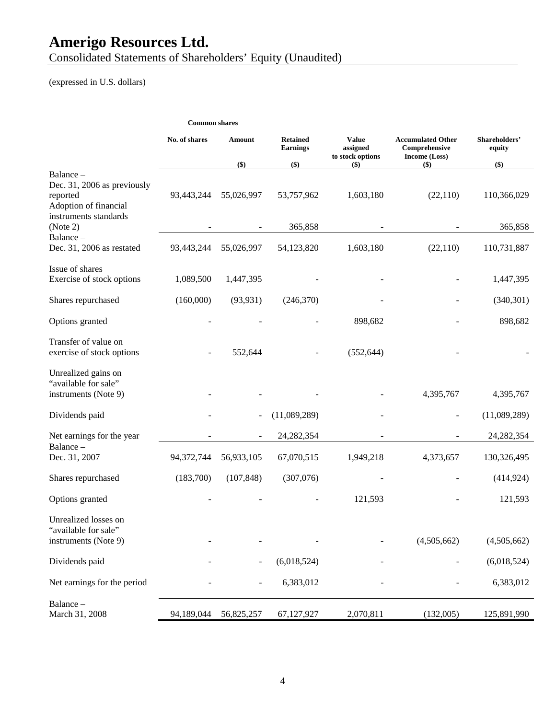Consolidated Statements of Shareholders' Equity (Unaudited)

(expressed in U.S. dollars)

#### **Common shares**

|                                                                                                        | No. of shares | Amount     | <b>Retained</b><br><b>Earnings</b> | <b>Value</b><br>assigned<br>to stock options | <b>Accumulated Other</b><br>Comprehensive<br>Income (Loss) | Shareholders'<br>equity |
|--------------------------------------------------------------------------------------------------------|---------------|------------|------------------------------------|----------------------------------------------|------------------------------------------------------------|-------------------------|
|                                                                                                        |               | $($)$      | $($)$                              | $($)$                                        | $($ \$)                                                    | \$)                     |
| Balance -<br>Dec. 31, 2006 as previously<br>reported<br>Adoption of financial<br>instruments standards | 93,443,244    | 55,026,997 | 53,757,962                         | 1,603,180                                    | (22, 110)                                                  | 110,366,029             |
| (Note 2)                                                                                               |               |            | 365,858                            |                                              |                                                            | 365,858                 |
| Balance -<br>Dec. 31, 2006 as restated                                                                 | 93,443,244    | 55,026,997 | 54,123,820                         | 1,603,180                                    | (22,110)                                                   | 110,731,887             |
| Issue of shares<br>Exercise of stock options                                                           | 1,089,500     | 1,447,395  |                                    |                                              |                                                            | 1,447,395               |
| Shares repurchased                                                                                     | (160,000)     | (93, 931)  | (246,370)                          |                                              |                                                            | (340, 301)              |
| Options granted                                                                                        |               |            |                                    | 898,682                                      |                                                            | 898,682                 |
| Transfer of value on<br>exercise of stock options                                                      |               | 552,644    |                                    | (552, 644)                                   |                                                            |                         |
| Unrealized gains on<br>"available for sale"<br>instruments (Note 9)                                    |               |            |                                    |                                              | 4,395,767                                                  | 4,395,767               |
| Dividends paid                                                                                         |               |            | (11,089,289)                       |                                              |                                                            | (11,089,289)            |
| Net earnings for the year                                                                              |               |            | 24, 282, 354                       |                                              |                                                            | 24,282,354              |
| Balance-<br>Dec. 31, 2007                                                                              | 94,372,744    | 56,933,105 | 67,070,515                         | 1,949,218                                    | 4,373,657                                                  | 130,326,495             |
| Shares repurchased                                                                                     | (183,700)     | (107, 848) | (307,076)                          |                                              |                                                            | (414, 924)              |
| Options granted                                                                                        |               |            |                                    | 121,593                                      |                                                            | 121,593                 |
| Unrealized losses on<br>"available for sale"<br>instruments (Note 9)                                   |               |            |                                    |                                              | (4,505,662)                                                | (4,505,662)             |
| Dividends paid                                                                                         |               |            | (6,018,524)                        |                                              |                                                            | (6,018,524)             |
| Net earnings for the period                                                                            |               |            | 6,383,012                          |                                              |                                                            | 6,383,012               |
| Balance-<br>March 31, 2008                                                                             | 94,189,044    | 56,825,257 | 67,127,927                         | 2,070,811                                    | (132,005)                                                  | 125,891,990             |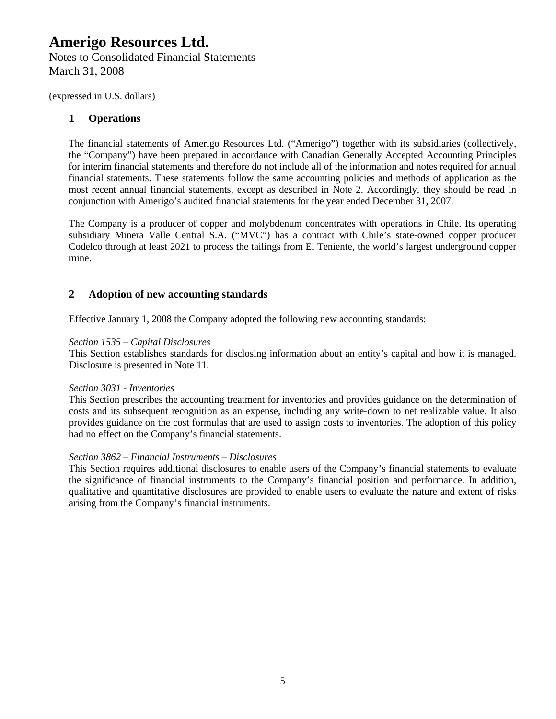## **1 Operations**

The financial statements of Amerigo Resources Ltd. ("Amerigo") together with its subsidiaries (collectively, the "Company") have been prepared in accordance with Canadian Generally Accepted Accounting Principles for interim financial statements and therefore do not include all of the information and notes required for annual financial statements. These statements follow the same accounting policies and methods of application as the most recent annual financial statements, except as described in Note 2. Accordingly, they should be read in conjunction with Amerigo's audited financial statements for the year ended December 31, 2007.

The Company is a producer of copper and molybdenum concentrates with operations in Chile. Its operating subsidiary Minera Valle Central S.A. ("MVC") has a contract with Chile's state-owned copper producer Codelco through at least 2021 to process the tailings from El Teniente, the world's largest underground copper mine.

## **2 Adoption of new accounting standards**

Effective January 1, 2008 the Company adopted the following new accounting standards:

## *Section 1535 – Capital Disclosures*

This Section establishes standards for disclosing information about an entity's capital and how it is managed. Disclosure is presented in Note 11.

## *Section 3031 - Inventories*

This Section prescribes the accounting treatment for inventories and provides guidance on the determination of costs and its subsequent recognition as an expense, including any write-down to net realizable value. It also provides guidance on the cost formulas that are used to assign costs to inventories. The adoption of this policy had no effect on the Company's financial statements.

## *Section 3862 – Financial Instruments – Disclosures*

This Section requires additional disclosures to enable users of the Company's financial statements to evaluate the significance of financial instruments to the Company's financial position and performance. In addition, qualitative and quantitative disclosures are provided to enable users to evaluate the nature and extent of risks arising from the Company's financial instruments.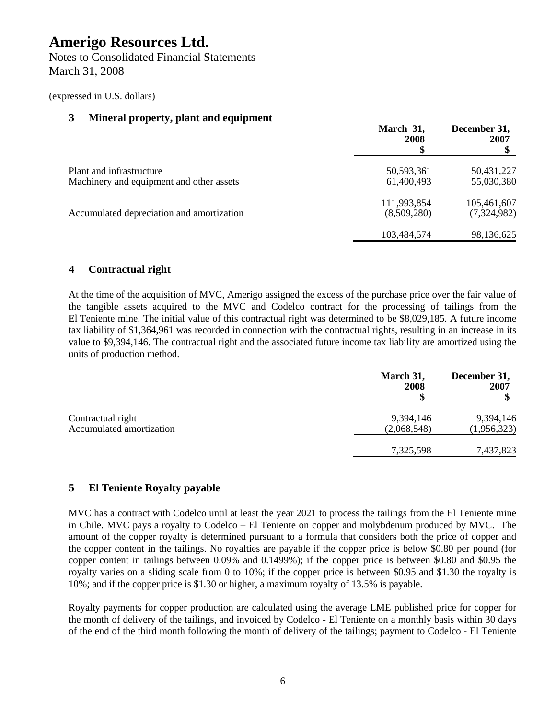Notes to Consolidated Financial Statements March 31, 2008

(expressed in U.S. dollars)

## **3 Mineral property, plant and equipment**

|                                                                      | March 31,<br>2008          | December 31,<br>2007       |
|----------------------------------------------------------------------|----------------------------|----------------------------|
| Plant and infrastructure<br>Machinery and equipment and other assets | 50,593,361<br>61,400,493   | 50,431,227<br>55,030,380   |
| Accumulated depreciation and amortization                            | 111,993,854<br>(8,509,280) | 105,461,607<br>(7,324,982) |
|                                                                      | 103,484,574                | 98,136,625                 |

## **4 Contractual right**

At the time of the acquisition of MVC, Amerigo assigned the excess of the purchase price over the fair value of the tangible assets acquired to the MVC and Codelco contract for the processing of tailings from the El Teniente mine. The initial value of this contractual right was determined to be \$8,029,185. A future income tax liability of \$1,364,961 was recorded in connection with the contractual rights, resulting in an increase in its value to \$9,394,146. The contractual right and the associated future income tax liability are amortized using the units of production method.

|                                               | March 31,<br>2008        | December 31,<br>2007     |
|-----------------------------------------------|--------------------------|--------------------------|
| Contractual right<br>Accumulated amortization | 9,394,146<br>(2,068,548) | 9,394,146<br>(1,956,323) |
|                                               | 7,325,598                | 7,437,823                |

## **5 El Teniente Royalty payable**

MVC has a contract with Codelco until at least the year 2021 to process the tailings from the El Teniente mine in Chile. MVC pays a royalty to Codelco – El Teniente on copper and molybdenum produced by MVC. The amount of the copper royalty is determined pursuant to a formula that considers both the price of copper and the copper content in the tailings. No royalties are payable if the copper price is below \$0.80 per pound (for copper content in tailings between 0.09% and 0.1499%); if the copper price is between \$0.80 and \$0.95 the royalty varies on a sliding scale from 0 to 10%; if the copper price is between \$0.95 and \$1.30 the royalty is 10%; and if the copper price is \$1.30 or higher, a maximum royalty of 13.5% is payable.

Royalty payments for copper production are calculated using the average LME published price for copper for the month of delivery of the tailings, and invoiced by Codelco - El Teniente on a monthly basis within 30 days of the end of the third month following the month of delivery of the tailings; payment to Codelco - El Teniente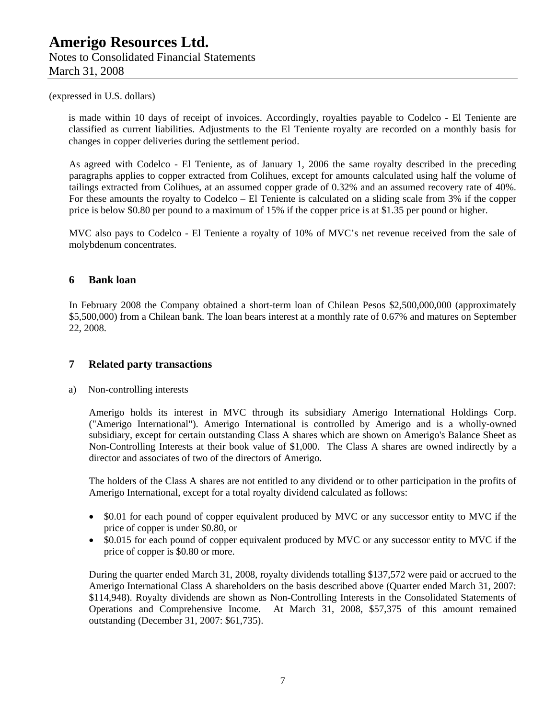is made within 10 days of receipt of invoices. Accordingly, royalties payable to Codelco - El Teniente are classified as current liabilities. Adjustments to the El Teniente royalty are recorded on a monthly basis for changes in copper deliveries during the settlement period.

As agreed with Codelco - El Teniente, as of January 1, 2006 the same royalty described in the preceding paragraphs applies to copper extracted from Colihues, except for amounts calculated using half the volume of tailings extracted from Colihues, at an assumed copper grade of 0.32% and an assumed recovery rate of 40%. For these amounts the royalty to Codelco – El Teniente is calculated on a sliding scale from 3% if the copper price is below \$0.80 per pound to a maximum of 15% if the copper price is at \$1.35 per pound or higher.

MVC also pays to Codelco - El Teniente a royalty of 10% of MVC's net revenue received from the sale of molybdenum concentrates.

## **6 Bank loan**

In February 2008 the Company obtained a short-term loan of Chilean Pesos \$2,500,000,000 (approximately \$5,500,000) from a Chilean bank. The loan bears interest at a monthly rate of 0.67% and matures on September 22, 2008.

## **7 Related party transactions**

a) Non-controlling interests

Amerigo holds its interest in MVC through its subsidiary Amerigo International Holdings Corp. ("Amerigo International"). Amerigo International is controlled by Amerigo and is a wholly-owned subsidiary, except for certain outstanding Class A shares which are shown on Amerigo's Balance Sheet as Non-Controlling Interests at their book value of \$1,000. The Class A shares are owned indirectly by a director and associates of two of the directors of Amerigo.

The holders of the Class A shares are not entitled to any dividend or to other participation in the profits of Amerigo International, except for a total royalty dividend calculated as follows:

- \$0.01 for each pound of copper equivalent produced by MVC or any successor entity to MVC if the price of copper is under \$0.80, or
- \$0.015 for each pound of copper equivalent produced by MVC or any successor entity to MVC if the price of copper is \$0.80 or more.

During the quarter ended March 31, 2008, royalty dividends totalling \$137,572 were paid or accrued to the Amerigo International Class A shareholders on the basis described above (Quarter ended March 31, 2007: \$114,948). Royalty dividends are shown as Non-Controlling Interests in the Consolidated Statements of Operations and Comprehensive Income. At March 31, 2008, \$57,375 of this amount remained outstanding (December 31, 2007: \$61,735).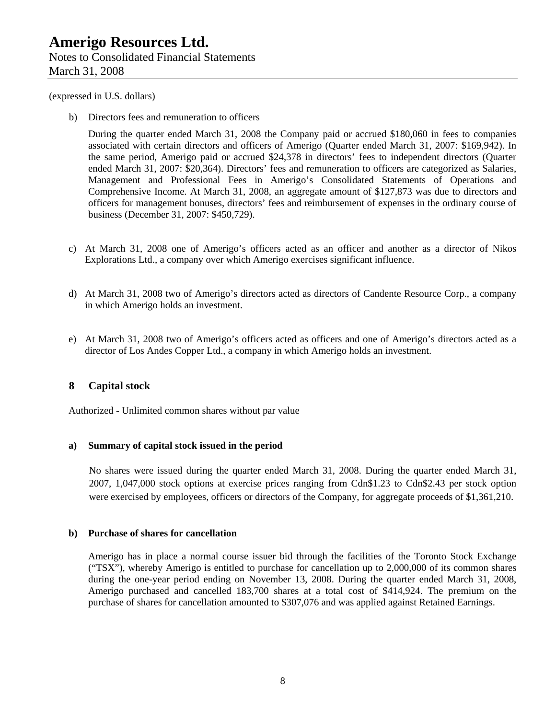b) Directors fees and remuneration to officers

During the quarter ended March 31, 2008 the Company paid or accrued \$180,060 in fees to companies associated with certain directors and officers of Amerigo (Quarter ended March 31, 2007: \$169,942). In the same period, Amerigo paid or accrued \$24,378 in directors' fees to independent directors (Quarter ended March 31, 2007: \$20,364). Directors' fees and remuneration to officers are categorized as Salaries, Management and Professional Fees in Amerigo's Consolidated Statements of Operations and Comprehensive Income. At March 31, 2008, an aggregate amount of \$127,873 was due to directors and officers for management bonuses, directors' fees and reimbursement of expenses in the ordinary course of business (December 31, 2007: \$450,729).

- c) At March 31, 2008 one of Amerigo's officers acted as an officer and another as a director of Nikos Explorations Ltd., a company over which Amerigo exercises significant influence.
- d) At March 31, 2008 two of Amerigo's directors acted as directors of Candente Resource Corp., a company in which Amerigo holds an investment.
- e) At March 31, 2008 two of Amerigo's officers acted as officers and one of Amerigo's directors acted as a director of Los Andes Copper Ltd., a company in which Amerigo holds an investment.

## **8 Capital stock**

Authorized - Unlimited common shares without par value

#### **a) Summary of capital stock issued in the period**

No shares were issued during the quarter ended March 31, 2008. During the quarter ended March 31, 2007, 1,047,000 stock options at exercise prices ranging from Cdn\$1.23 to Cdn\$2.43 per stock option were exercised by employees, officers or directors of the Company, for aggregate proceeds of \$1,361,210.

#### **b) Purchase of shares for cancellation**

Amerigo has in place a normal course issuer bid through the facilities of the Toronto Stock Exchange ("TSX"), whereby Amerigo is entitled to purchase for cancellation up to 2,000,000 of its common shares during the one-year period ending on November 13, 2008. During the quarter ended March 31, 2008, Amerigo purchased and cancelled 183,700 shares at a total cost of \$414,924. The premium on the purchase of shares for cancellation amounted to \$307,076 and was applied against Retained Earnings.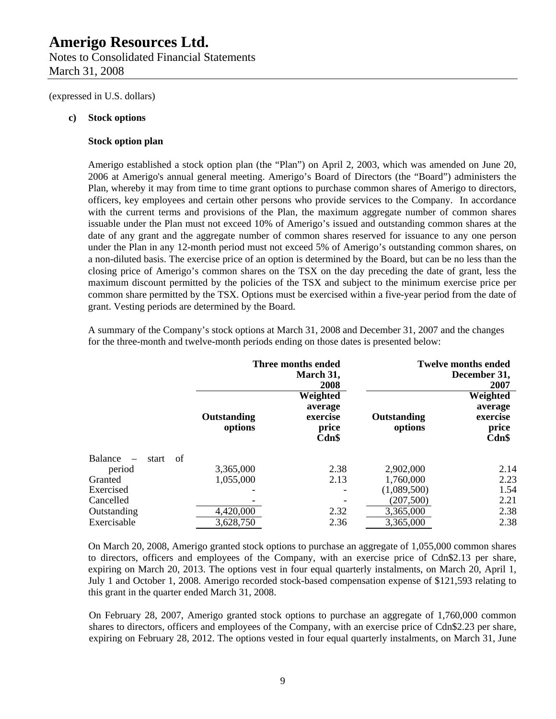Notes to Consolidated Financial Statements March 31, 2008

(expressed in U.S. dollars)

#### **c) Stock options**

#### **Stock option plan**

Amerigo established a stock option plan (the "Plan") on April 2, 2003, which was amended on June 20, 2006 at Amerigo's annual general meeting. Amerigo's Board of Directors (the "Board") administers the Plan, whereby it may from time to time grant options to purchase common shares of Amerigo to directors, officers, key employees and certain other persons who provide services to the Company. In accordance with the current terms and provisions of the Plan, the maximum aggregate number of common shares issuable under the Plan must not exceed 10% of Amerigo's issued and outstanding common shares at the date of any grant and the aggregate number of common shares reserved for issuance to any one person under the Plan in any 12-month period must not exceed 5% of Amerigo's outstanding common shares, on a non-diluted basis. The exercise price of an option is determined by the Board, but can be no less than the closing price of Amerigo's common shares on the TSX on the day preceding the date of grant, less the maximum discount permitted by the policies of the TSX and subject to the minimum exercise price per common share permitted by the TSX. Options must be exercised within a five-year period from the date of grant. Vesting periods are determined by the Board.

**Three months ended March 31, 2008 Twelve months ended December 31, 2007 Outstanding options Weighted average exercise price Cdn\$ Outstanding options Weighted average exercise price Cdn\$**  Balance – start of period 3,365,000 2.38 2,902,000 2.14 Granted 1,055,000 2.13 1,760,000 2.23 Exercised **-** - (1,089,500) 1.54 Cancelled 2.21 Outstanding 2,32 3,365,000 2.38 Exercisable 3,628,750 2.36 3,365,000 2.38

A summary of the Company's stock options at March 31, 2008 and December 31, 2007 and the changes for the three-month and twelve-month periods ending on those dates is presented below:

On March 20, 2008, Amerigo granted stock options to purchase an aggregate of 1,055,000 common shares to directors, officers and employees of the Company, with an exercise price of Cdn\$2.13 per share, expiring on March 20, 2013. The options vest in four equal quarterly instalments, on March 20, April 1, July 1 and October 1, 2008. Amerigo recorded stock-based compensation expense of \$121,593 relating to this grant in the quarter ended March 31, 2008.

On February 28, 2007, Amerigo granted stock options to purchase an aggregate of 1,760,000 common shares to directors, officers and employees of the Company, with an exercise price of Cdn\$2.23 per share, expiring on February 28, 2012. The options vested in four equal quarterly instalments, on March 31, June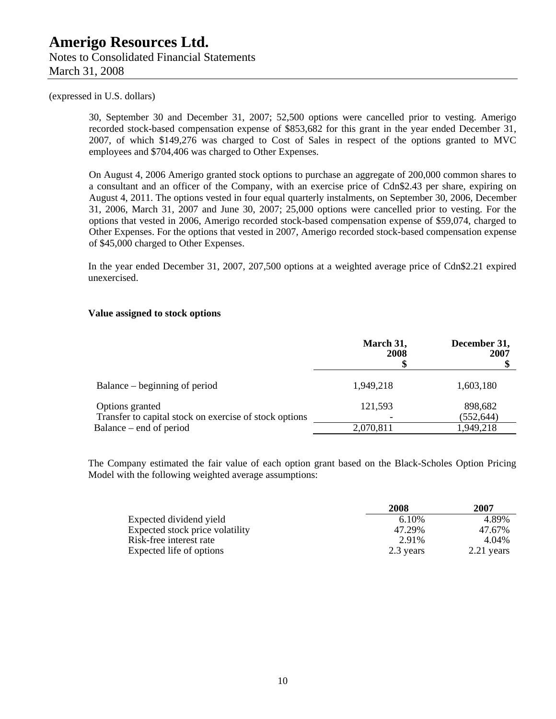30, September 30 and December 31, 2007; 52,500 options were cancelled prior to vesting. Amerigo recorded stock-based compensation expense of \$853,682 for this grant in the year ended December 31, 2007, of which \$149,276 was charged to Cost of Sales in respect of the options granted to MVC employees and \$704,406 was charged to Other Expenses.

On August 4, 2006 Amerigo granted stock options to purchase an aggregate of 200,000 common shares to a consultant and an officer of the Company, with an exercise price of Cdn\$2.43 per share, expiring on August 4, 2011. The options vested in four equal quarterly instalments, on September 30, 2006, December 31, 2006, March 31, 2007 and June 30, 2007; 25,000 options were cancelled prior to vesting. For the options that vested in 2006, Amerigo recorded stock-based compensation expense of \$59,074, charged to Other Expenses. For the options that vested in 2007, Amerigo recorded stock-based compensation expense of \$45,000 charged to Other Expenses.

In the year ended December 31, 2007, 207,500 options at a weighted average price of Cdn\$2.21 expired unexercised.

#### **Value assigned to stock options**

|                                                                           | March 31,<br>2008 | December 31,<br>2007  |
|---------------------------------------------------------------------------|-------------------|-----------------------|
| Balance – beginning of period                                             | 1,949,218         | 1,603,180             |
| Options granted<br>Transfer to capital stock on exercise of stock options | 121,593           | 898,682<br>(552, 644) |
| Balance – end of period                                                   | 2,070,811         | 1,949,218             |

The Company estimated the fair value of each option grant based on the Black-Scholes Option Pricing Model with the following weighted average assumptions:

|                                 | 2008      | 2007         |
|---------------------------------|-----------|--------------|
| Expected dividend yield         | 6.10%     | 4.89%        |
| Expected stock price volatility | 47.29%    | 47.67%       |
| Risk-free interest rate         | 2.91%     | 4.04%        |
| Expected life of options        | 2.3 years | $2.21$ years |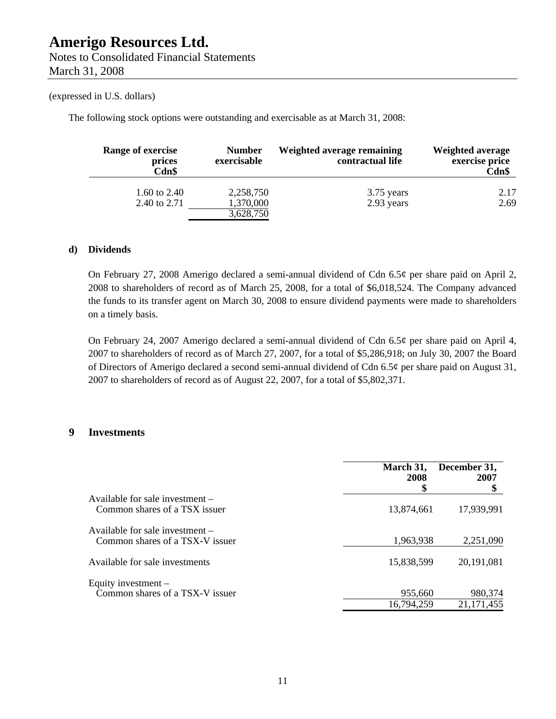The following stock options were outstanding and exercisable as at March 31, 2008:

| Range of exercise<br>prices<br>Cdn\$ | <b>Number</b><br>exercisable        | Weighted average remaining<br>contractual life | <b>Weighted average</b><br>exercise price<br>Cdn\$ |
|--------------------------------------|-------------------------------------|------------------------------------------------|----------------------------------------------------|
| 1.60 to 2.40<br>2.40 to 2.71         | 2,258,750<br>1,370,000<br>3,628,750 | 3.75 years<br>2.93 years                       | 2.17<br>2.69                                       |

## **d) Dividends**

On February 27, 2008 Amerigo declared a semi-annual dividend of Cdn 6.5¢ per share paid on April 2, 2008 to shareholders of record as of March 25, 2008, for a total of \$6,018,524. The Company advanced the funds to its transfer agent on March 30, 2008 to ensure dividend payments were made to shareholders on a timely basis.

On February 24, 2007 Amerigo declared a semi-annual dividend of Cdn 6.5¢ per share paid on April 4, 2007 to shareholders of record as of March 27, 2007, for a total of \$5,286,918; on July 30, 2007 the Board of Directors of Amerigo declared a second semi-annual dividend of Cdn 6.5¢ per share paid on August 31, 2007 to shareholders of record as of August 22, 2007, for a total of \$5,802,371.

## **9 Investments**

|                                                                    | March 31,<br>2008<br>\$ | December 31,<br>2007  |
|--------------------------------------------------------------------|-------------------------|-----------------------|
| Available for sale investment –<br>Common shares of a TSX issuer   | 13,874,661              | 17,939,991            |
| Available for sale investment –<br>Common shares of a TSX-V issuer | 1,963,938               | 2,251,090             |
| Available for sale investments                                     | 15,838,599              | 20,191,081            |
| Equity investment $-$<br>Common shares of a TSX-V issuer           | 955,660<br>16,794,259   | 980,374<br>21,171,455 |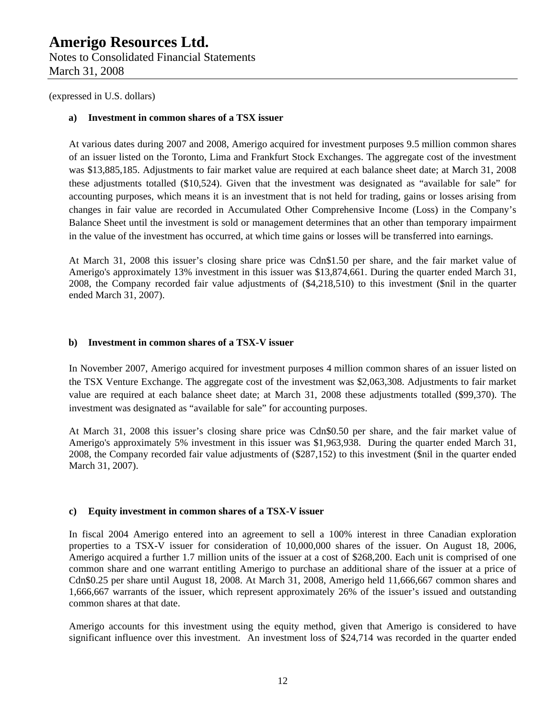Notes to Consolidated Financial Statements March 31, 2008

(expressed in U.S. dollars)

## **a) Investment in common shares of a TSX issuer**

At various dates during 2007 and 2008, Amerigo acquired for investment purposes 9.5 million common shares of an issuer listed on the Toronto, Lima and Frankfurt Stock Exchanges. The aggregate cost of the investment was \$13,885,185. Adjustments to fair market value are required at each balance sheet date; at March 31, 2008 these adjustments totalled (\$10,524). Given that the investment was designated as "available for sale" for accounting purposes, which means it is an investment that is not held for trading, gains or losses arising from changes in fair value are recorded in Accumulated Other Comprehensive Income (Loss) in the Company's Balance Sheet until the investment is sold or management determines that an other than temporary impairment in the value of the investment has occurred, at which time gains or losses will be transferred into earnings.

At March 31, 2008 this issuer's closing share price was Cdn\$1.50 per share, and the fair market value of Amerigo's approximately 13% investment in this issuer was \$13,874,661. During the quarter ended March 31, 2008, the Company recorded fair value adjustments of (\$4,218,510) to this investment (\$nil in the quarter ended March 31, 2007).

## **b) Investment in common shares of a TSX-V issuer**

In November 2007, Amerigo acquired for investment purposes 4 million common shares of an issuer listed on the TSX Venture Exchange. The aggregate cost of the investment was \$2,063,308. Adjustments to fair market value are required at each balance sheet date; at March 31, 2008 these adjustments totalled (\$99,370). The investment was designated as "available for sale" for accounting purposes.

At March 31, 2008 this issuer's closing share price was Cdn\$0.50 per share, and the fair market value of Amerigo's approximately 5% investment in this issuer was \$1,963,938. During the quarter ended March 31, 2008, the Company recorded fair value adjustments of (\$287,152) to this investment (\$nil in the quarter ended March 31, 2007).

## **c) Equity investment in common shares of a TSX-V issuer**

In fiscal 2004 Amerigo entered into an agreement to sell a 100% interest in three Canadian exploration properties to a TSX-V issuer for consideration of 10,000,000 shares of the issuer. On August 18, 2006, Amerigo acquired a further 1.7 million units of the issuer at a cost of \$268,200. Each unit is comprised of one common share and one warrant entitling Amerigo to purchase an additional share of the issuer at a price of Cdn\$0.25 per share until August 18, 2008. At March 31, 2008, Amerigo held 11,666,667 common shares and 1,666,667 warrants of the issuer, which represent approximately 26% of the issuer's issued and outstanding common shares at that date.

Amerigo accounts for this investment using the equity method, given that Amerigo is considered to have significant influence over this investment. An investment loss of \$24,714 was recorded in the quarter ended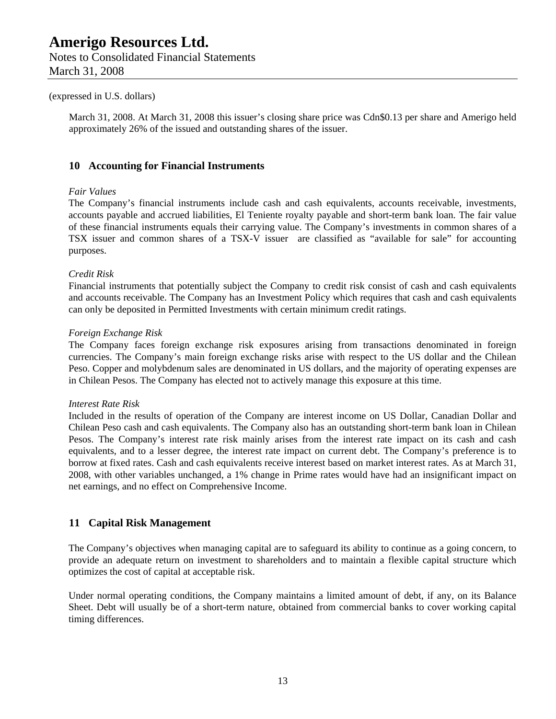March 31, 2008. At March 31, 2008 this issuer's closing share price was Cdn\$0.13 per share and Amerigo held approximately 26% of the issued and outstanding shares of the issuer.

#### **10 Accounting for Financial Instruments**

#### *Fair Values*

The Company's financial instruments include cash and cash equivalents, accounts receivable, investments, accounts payable and accrued liabilities, El Teniente royalty payable and short-term bank loan. The fair value of these financial instruments equals their carrying value. The Company's investments in common shares of a TSX issuer and common shares of a TSX-V issuer are classified as "available for sale" for accounting purposes.

#### *Credit Risk*

Financial instruments that potentially subject the Company to credit risk consist of cash and cash equivalents and accounts receivable. The Company has an Investment Policy which requires that cash and cash equivalents can only be deposited in Permitted Investments with certain minimum credit ratings.

#### *Foreign Exchange Risk*

The Company faces foreign exchange risk exposures arising from transactions denominated in foreign currencies. The Company's main foreign exchange risks arise with respect to the US dollar and the Chilean Peso. Copper and molybdenum sales are denominated in US dollars, and the majority of operating expenses are in Chilean Pesos. The Company has elected not to actively manage this exposure at this time.

#### *Interest Rate Risk*

Included in the results of operation of the Company are interest income on US Dollar, Canadian Dollar and Chilean Peso cash and cash equivalents. The Company also has an outstanding short-term bank loan in Chilean Pesos. The Company's interest rate risk mainly arises from the interest rate impact on its cash and cash equivalents, and to a lesser degree, the interest rate impact on current debt. The Company's preference is to borrow at fixed rates. Cash and cash equivalents receive interest based on market interest rates. As at March 31, 2008, with other variables unchanged, a 1% change in Prime rates would have had an insignificant impact on net earnings, and no effect on Comprehensive Income.

#### **11 Capital Risk Management**

The Company's objectives when managing capital are to safeguard its ability to continue as a going concern, to provide an adequate return on investment to shareholders and to maintain a flexible capital structure which optimizes the cost of capital at acceptable risk.

Under normal operating conditions, the Company maintains a limited amount of debt, if any, on its Balance Sheet. Debt will usually be of a short-term nature, obtained from commercial banks to cover working capital timing differences.